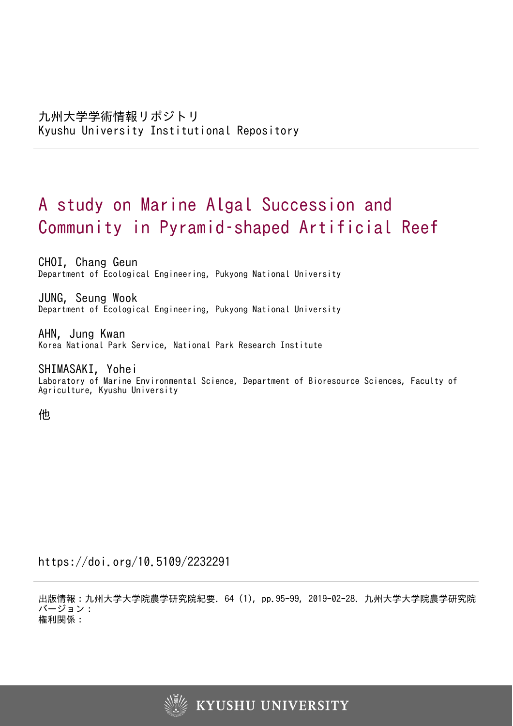# A study on Marine Algal Succession and Community in Pyramid–shaped Artificial Reef

CHOI, Chang Geun Department of Ecological Engineering, Pukyong National University

JUNG, Seung Wook Department of Ecological Engineering, Pukyong National University

AHN, Jung Kwan Korea National Park Service, National Park Research Institute

SHIMASAKI, Yohei Laboratory of Marine Environmental Science, Department of Bioresource Sciences, Faculty of Agriculture, Kyushu University

他

https://doi.org/10.5109/2232291

出版情報:九州大学大学院農学研究院紀要. 64 (1), pp.95-99, 2019-02-28. 九州大学大学院農学研究院 バージョン: 権利関係:

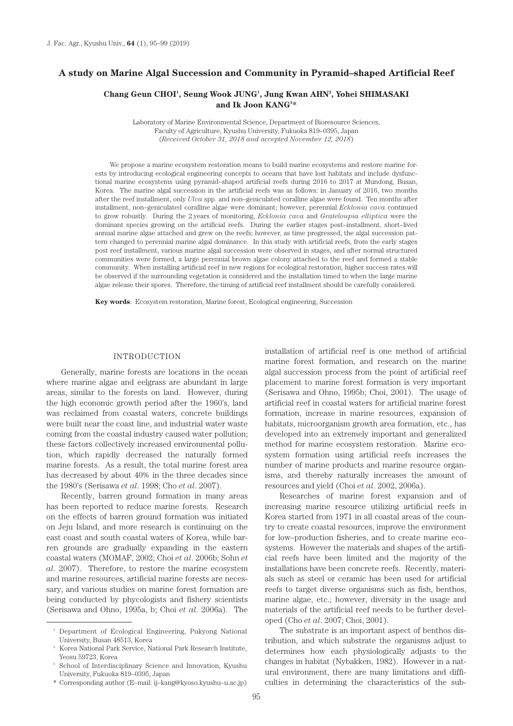## **A study on Marine Algal Succession and Community in Pyramid–shaped Artificial Reef**

## **Chang Geun CHOI1 , Seung Wook JUNG1 , Jung Kwan AHN2 , Yohei SHIMASAKI and Ik Joon KANG3 \***

Laboratory of Marine Environmental Science, Department of Bioresource Sciences, Faculty of Agriculture, Kyushu University, Fukuoka 819–0395, Japan (*Received October 31, 2018 and accepted November 12, 2018*)

We propose a marine ecosystem restoration means to build marine ecosystems and restore marine forests by introducing ecological engineering concepts to oceans that have lost habitats and include dysfunctional marine ecosystems using pyramid–shaped artificial reefs during 2016 to 2017 at Mundong, Busan, Korea. The marine algal succession in the artificial reefs was as follows: in January of 2016, two months after the reef installment, only *Ulva* spp. and non–geniculated coralline algae were found. Ten months after installment, non–geniculated coralline algae were dominant; however, perennial *Ecklonia cava* continued to grow robustly. During the 2 years of monitoring, *Ecklonia cava* and *Grateloupia elliptica* were the dominant species growing on the artificial reefs. During the earlier stages post–installment, short–lived annual marine algae attached and grew on the reefs; however, as time progressed, the algal succession pattern changed to perennial marine algal dominance. In this study with artificial reefs, from the early stages post reef installment, various marine algal succession were observed in stages, and after normal structured communities were formed, a large perennial brown algae colony attached to the reef and formed a stable community. When installing artificial reef in new regions for ecological restoration, higher success rates will be observed if the surrounding vegetation is considered and the installation timed to when the large marine algae release their spores. Therefore, the timing of artificial reef installment should be carefully considered.

**Key words**: Ecosystem restoration, Marine forest, Ecological engineering, Succession

## INTRODUCTION

Generally, marine forests are locations in the ocean where marine algae and eelgrass are abundant in large areas, similar to the forests on land. However, during the high economic growth period after the 1960's, land was reclaimed from coastal waters, concrete buildings were built near the coast line, and industrial water waste coming from the coastal industry caused water pollution; these factors collectively increased environmental pollution, which rapidly decreased the naturally formed marine forests. As a result, the total marine forest area has decreased by about 40% in the three decades since the 1980's (Serisawa *et al*. 1998; Cho *et al*. 2007).

Recently, barren ground formation in many areas has been reported to reduce marine forests. Research on the effects of barren ground formation was initiated on Jeju Island, and more research is continuing on the east coast and south coastal waters of Korea, while barren grounds are gradually expanding in the eastern coastal waters (MOMAF, 2002; Choi *et al*. 2006b; Sohn *et al*. 2007). Therefore, to restore the marine ecosystem and marine resources, artificial marine forests are necessary, and various studies on marine forest formation are being conducted by phycologists and fishery scientists (Serisawa and Ohno, 1995a, b; Choi *et al*. 2006a). The installation of artificial reef is one method of artificial marine forest formation, and research on the marine algal succession process from the point of artificial reef placement to marine forest formation is very important (Serisawa and Ohno, 1995b; Choi, 2001). The usage of artificial reef in coastal waters for artificial marine forest formation, increase in marine resources, expansion of habitats, microorganism growth area formation, etc., has developed into an extremely important and generalized method for marine ecosystem restoration. Marine ecosystem formation using artificial reefs increases the number of marine products and marine resource organisms, and thereby naturally increases the amount of resources and yield (Choi *et al*. 2002, 2006a).

Researches of marine forest expansion and of increasing marine resource utilizing artificial reefs in Korea started from 1971 in all coastal areas of the country to create coastal resources, improve the environment for low–production fisheries, and to create marine ecosystems. However the materials and shapes of the artificial reefs have been limited and the majority of the installations have been concrete reefs. Recently, materials such as steel or ceramic has been used for artificial reefs to target diverse organisms such as fish, benthos, marine algae, etc.; however, diversity in the usage and materials of the artificial reef needs to be further developed (Cho *et al*. 2007; Choi, 2001).

The substrate is an important aspect of benthos distribution, and which substrate the organisms adjust to determines how each physiologically adjusts to the changes in habitat (Nybakken, 1982). However in a natural environment, there are many limitations and difficulties in determining the characteristics of the sub-

<sup>&</sup>lt;sup>1</sup> Department of Ecological Engineering, Pukyong National University, Busan 48513, Korea

<sup>2</sup> Korea National Park Service, National Park Research Institute, Yeosu 59723, Korea

<sup>&</sup>lt;sup>3</sup> School of Interdisciplinary Science and Innovation, Kyushu University, Fukuoka 819–0395, Japan

<sup>\*</sup> Corresponding author (E–mail: ij–kang@kyoso.kyushu–u.ac.jp)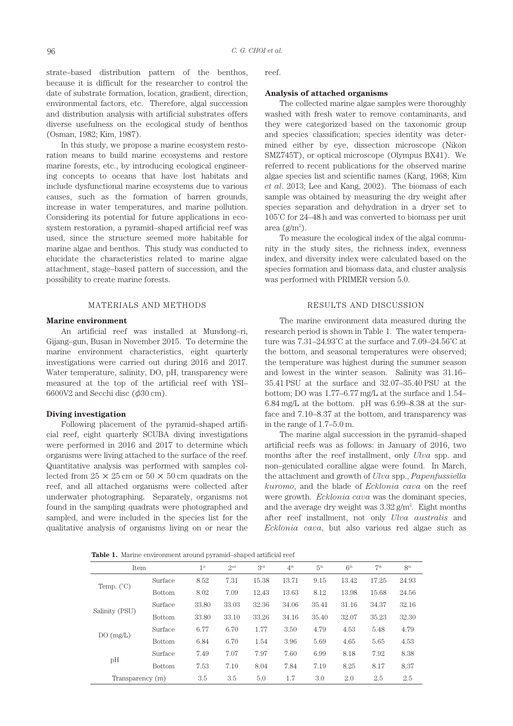strate–based distribution pattern of the benthos, because it is difficult for the researcher to control the date of substrate formation, location, gradient, direction, environmental factors, etc. Therefore, algal succession and distribution analysis with artificial substrates offers diverse usefulness on the ecological study of benthos (Osman, 1982; Kim, 1987).

In this study, we propose a marine ecosystem restoration means to build marine ecosystems and restore marine forests, etc., by introducing ecological engineering concepts to oceans that have lost habitats and include dysfunctional marine ecosystems due to various causes, such as the formation of barren grounds, increase in water temperatures, and marine pollution. Considering its potential for future applications in ecosystem restoration, a pyramid–shaped artificial reef was used, since the structure seemed more habitable for marine algae and benthos. This study was conducted to elucidate the characteristics related to marine algae attachment, stage–based pattern of succession, and the possibility to create marine forests.

## MATERIALS AND METHODS

#### **Marine environment**

An artificial reef was installed at Mundong–ri, Gijang–gun, Busan in November 2015. To determine the marine environment characteristics, eight quarterly investigations were carried out during 2016 and 2017. Water temperature, salinity, DO, pH, transparency were measured at the top of the artificial reef with YSI–  $6600V2$  and Secchi disc ( $\phi$ 30 cm).

#### **Diving investigation**

Following placement of the pyramid–shaped artificial reef, eight quarterly SCUBA diving investigations were performed in 2016 and 2017 to determine which organisms were living attached to the surface of the reef. Quantitative analysis was performed with samples collected from  $25 \times 25$  cm or  $50 \times 50$  cm quadrats on the reef, and all attached organisms were collected after underwater photographing. Separately, organisms not found in the sampling quadrats were photographed and sampled, and were included in the species list for the qualitative analysis of organisms living on or near the

reef.

#### **Analysis of attached organisms**

The collected marine algae samples were thoroughly washed with fresh water to remove contaminants, and they were categorized based on the taxonomic group and species classification; species identity was determined either by eye, dissection microscope (Nikon SMZ745T), or optical microscope (Olympus BX41). We referred to recent publications for the observed marine algae species list and scientific names (Kang, 1968; Kim *et al*. 2013; Lee and Kang, 2002). The biomass of each sample was obtained by measuring the dry weight after species separation and dehydration in a dryer set to 105˚C for 24–48 h and was converted to biomass per unit  $area (g/m<sup>2</sup>)$ .

To measure the ecological index of the algal community in the study sites, the richness index, evenness index, and diversity index were calculated based on the species formation and biomass data, and cluster analysis was performed with PRIMER version 5.0.

## RESULTS AND DISCUSSION

The marine environment data measured during the research period is shown in Table 1. The water temperature was 7.31–24.93˚C at the surface and 7.09–24.56˚C at the bottom, and seasonal temperatures were observed; the temperature was highest during the summer season and lowest in the winter season. Salinity was 31.16– 35.41 PSU at the surface and 32.07–35.40 PSU at the bottom; DO was 1.77–6.77 mg/L at the surface and 1.54– 6.84 mg/L at the bottom. pH was 6.99–8.38 at the surface and 7.10–8.37 at the bottom, and transparency was in the range of 1.7–5.0 m.

The marine algal succession in the pyramid–shaped artificial reefs was as follows: in January of 2016, two months after the reef installment, only *Ulva* spp. and non–geniculated coralline algae were found. In March, the attachment and growth of *Ulva* spp., *Papenfussiella kuromo*, and the blade of *Ecklonia cava* on the reef were growth. *Ecklonia cava* was the dominant species, and the average dry weight was  $3.32$  g/m<sup>2</sup>. Eight months after reef installment, not only *Ulva australis* and *Ecklonia cava*, but also various red algae such as

**Table 1.** Marine environment around pyramid–shaped artificial reef

| Item                |                                               | 1 <sup>st</sup> | 2 <sup>nd</sup> | 3 <sup>rd</sup> | $4^{\text{th}}$ | 5 <sup>th</sup> | 6 <sup>th</sup> | 7 <sup>th</sup> | 8 <sup>th</sup> |
|---------------------|-----------------------------------------------|-----------------|-----------------|-----------------|-----------------|-----------------|-----------------|-----------------|-----------------|
|                     | Surface                                       | 8.52            | 7.31            | 15.38           | 13.71           | 9.15            | 13.42           | 17.25           | 24.93           |
| Temp. $(^{\circ}C)$ | <b>Bottom</b>                                 | 8.02            | 7.09            | 12.43           | 13.63           | 8.12            | 13.98           | 15.68           | 24.56           |
|                     | Surface                                       | 33.80           | 33.03           | 32.36           | 34.06           | 35.41           | 31.16           | 34.37           | 32.16           |
| Salinity (PSU)      | <b>Bottom</b>                                 | 33.80           | 33.10           | 33.26           | 34.16           | 35.40           | 32.07           | 35.23           | 32.30           |
|                     | Surface                                       | 6.77            | 6.70            | 1.77            | 3.50            | 4.79            | 4.53            | 5.48            | 4.79            |
| DO(mg/L)            | 6.70<br>6.84<br>3.96<br>1.54<br><b>Bottom</b> | 5.69            | 4.65            | 5.65            | 4.53            |                 |                 |                 |                 |
|                     | Surface                                       | 7.49            | 7.07            | 7.97            | 7.60            | 6.99            | 8.18            | 7.92            | 8.38            |
| pH                  | <b>Bottom</b>                                 | 7.53            | 7.10            | 8.04            | 7.84            | 7.19            | 8.25            | 8.17            | 8.37            |
| Transparency (m)    |                                               | 3.5             | 3.5             | 5.0             | 1.7             | 3.0             | 2.0             | 2.5             | 2.5             |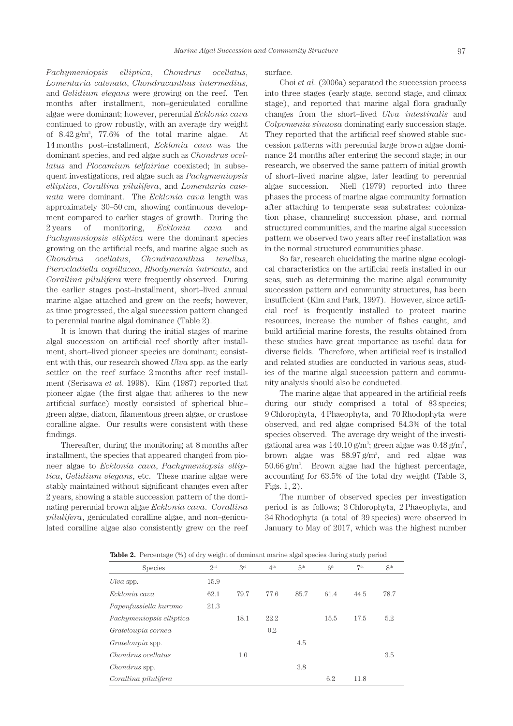*Pachymeniopsis elliptica*, *Chondrus ocellatus*, *Lomentaria catenata*, *Chondracanthus intermedius*, and *Gelidium elegans* were growing on the reef. Ten months after installment, non–geniculated coralline algae were dominant; however, perennial *Ecklonia cava*  continued to grow robustly, with an average dry weight of  $8.42 \text{ g/m}^2$ ,  $77.6\%$  of the total marine algae. At 14 months post–installment, *Ecklonia cava* was the dominant species, and red algae such as *Chondrus ocellatus* and *Plocamium telfairiae* coexisted; in subsequent investigations, red algae such as *Pachymeniopsis elliptica*, *Corallina pilulifera*, and *Lomentaria catenata* were dominant. The *Ecklonia cava* length was approximately 30–50 cm, showing continuous development compared to earlier stages of growth. During the 2 years of monitoring, *Ecklonia cava* and *Pachymeniopsis elliptica* were the dominant species growing on the artificial reefs, and marine algae such as *Chondrus ocellatus*, *Chondracanthus tenellus*, *Pterocladiella capillacea*, *Rhodymenia intricata*, and *Corallina pilulifera* were frequently observed. During the earlier stages post–installment, short–lived annual marine algae attached and grew on the reefs; however, as time progressed, the algal succession pattern changed to perennial marine algal dominance (Table 2).

It is known that during the initial stages of marine algal succession on artificial reef shortly after installment, short–lived pioneer species are dominant; consistent with this, our research showed *Ulva* spp. as the early settler on the reef surface 2 months after reef installment (Serisawa *et al*. 1998). Kim (1987) reported that pioneer algae (the first algae that adheres to the new artificial surface) mostly consisted of spherical blue– green algae, diatom, filamentous green algae, or crustose coralline algae. Our results were consistent with these findings.

Thereafter, during the monitoring at 8 months after installment, the species that appeared changed from pioneer algae to *Ecklonia cava*, *Pachymeniopsis elliptica*, *Gelidium elegans*, etc. These marine algae were stably maintained without significant changes even after 2 years, showing a stable succession pattern of the dominating perennial brown algae *Ecklonia cava*. *Corallina pilulifera*, geniculated coralline algae, and non–geniculated coralline algae also consistently grew on the reef surface.

Choi *et al*. (2006a) separated the succession process into three stages (early stage, second stage, and climax stage), and reported that marine algal flora gradually changes from the short–lived *Ulva intestinalis* and *Colpomenia sinuosa* dominating early succession stage. They reported that the artificial reef showed stable succession patterns with perennial large brown algae dominance 24 months after entering the second stage; in our research, we observed the same pattern of initial growth of short–lived marine algae, later leading to perennial algae succession. Niell (1979) reported into three phases the process of marine algae community formation after attaching to temperate seas substrates: colonization phase, channeling succession phase, and normal structured communities, and the marine algal succession pattern we observed two years after reef installation was in the normal structured communities phase.

So far, research elucidating the marine algae ecological characteristics on the artificial reefs installed in our seas, such as determining the marine algal community succession pattern and community structures, has been insufficient (Kim and Park, 1997). However, since artificial reef is frequently installed to protect marine resources, increase the number of fishes caught, and build artificial marine forests, the results obtained from these studies have great importance as useful data for diverse fields. Therefore, when artificial reef is installed and related studies are conducted in various seas, studies of the marine algal succession pattern and community analysis should also be conducted.

The marine algae that appeared in the artificial reefs during our study comprised a total of 83 species; 9 Chlorophyta, 4 Phaeophyta, and 70 Rhodophyta were observed, and red algae comprised 84.3% of the total species observed. The average dry weight of the investigational area was  $140.10$  g/m<sup>2</sup>; green algae was  $0.48$  g/m<sup>2</sup>, brown algae was  $88.97 g/m^2$ , and red algae was  $50.66$  g/m<sup>2</sup>. Brown algae had the highest percentage, accounting for 63.5% of the total dry weight (Table 3, Figs. 1, 2).

The number of observed species per investigation period is as follows; 3 Chlorophyta, 2 Phaeophyta, and 34 Rhodophyta (a total of 39 species) were observed in January to May of 2017, which was the highest number

**Table 2.** Percentage (%) of dry weight of dominant marine algal species during study period

| <b>Exercise</b> the contemplative form of the contemplative complete opposition and sector position |                 |              |                 |                 |                 |                 |                 |
|-----------------------------------------------------------------------------------------------------|-----------------|--------------|-----------------|-----------------|-----------------|-----------------|-----------------|
| Species                                                                                             | 2 <sub>nd</sub> | $3^{\rm rd}$ | 4 <sup>th</sup> | 5 <sup>th</sup> | 6 <sup>th</sup> | 7 <sup>th</sup> | 8 <sup>th</sup> |
| Ulva spp.                                                                                           | 15.9            |              |                 |                 |                 |                 |                 |
| Ecklonia cava                                                                                       | 62.1            | 79.7         | 77.6            | 85.7            | 61.4            | 44.5            | 78.7            |
| Papenfussiella kuromo                                                                               | 21.3            |              |                 |                 |                 |                 |                 |
| Pachymeniopsis elliptica                                                                            |                 | 18.1         | 22.2            |                 | 15.5            | 17.5            | 5.2             |
| Grateloupia cornea                                                                                  |                 |              | 0.2             |                 |                 |                 |                 |
| Grateloupia spp.                                                                                    |                 |              |                 | 4.5             |                 |                 |                 |
| Chondrus ocellatus                                                                                  |                 | 1.0          |                 |                 |                 |                 | 3.5             |
| <i>Chondrus</i> spp.                                                                                |                 |              |                 | 3.8             |                 |                 |                 |
| Corallina pilulifera                                                                                |                 |              |                 |                 | 6.2             | 11.8            |                 |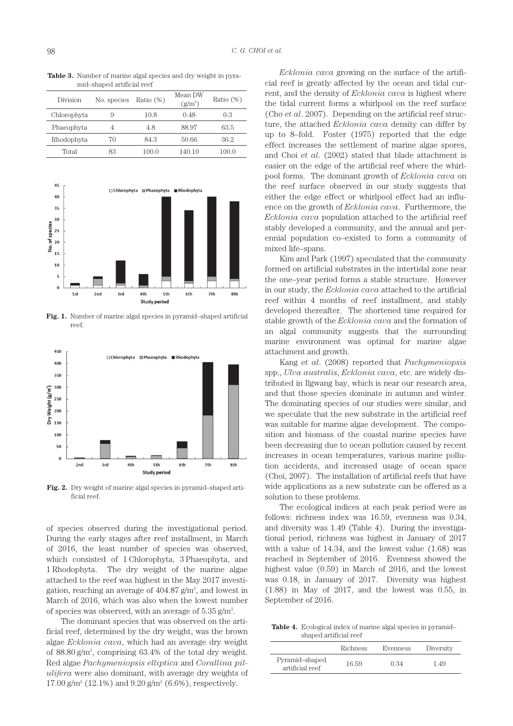**Table 3.** Number of marine algal species and dry weight in pyramid–shaped artificial reef

| Division    | No. species | Ratio $(\%)$ | Mean DW<br>$(g/m^2)$ | Ratio $(\%)$ |
|-------------|-------------|--------------|----------------------|--------------|
| Chlorophyta | 9           | 10.8         | 0.48                 | 0.3          |
| Phaeophyta  |             | 48           | 88.97                | 63.5         |
| Rhodophyta  | 70          | 843          | 50.66                | 36.2         |
| Total       | 83          | 100.0        | 140.10               | 100.0        |



**Fig. 1.** Number of marine algal species in pyramid–shaped artificial reef.



**Fig. 2.** Dry weight of marine algal species in pyramid–shaped artificial reef.

of species observed during the investigational period. During the early stages after reef installment, in March of 2016, the least number of species was observed, which consisted of 1 Chlorophyta, 3 Phaeophyta, and 1 Rhodophyta. The dry weight of the marine algae attached to the reef was highest in the May 2017 investigation, reaching an average of  $404.87$  g/m<sup>2</sup>, and lowest in March of 2016, which was also when the lowest number of species was observed, with an average of  $5.35$  g/m<sup>2</sup>.

The dominant species that was observed on the artificial reef, determined by the dry weight, was the brown algae *Ecklonia cava*, which had an average dry weight of 88.80 g/m2 , comprising 63.4% of the total dry weight. Red algae *Pachymeniopsis elliptica* and *Corallina pilulifera* were also dominant, with average dry weights of  $17.00 \text{ g/m}^2$  (12.1%) and  $9.20 \text{ g/m}^2$  (6.6%), respectively.

*Ecklonia cava* growing on the surface of the artificial reef is greatly affected by the ocean and tidal current, and the density of *Ecklonia cava* is highest where the tidal current forms a whirlpool on the reef surface (Cho *et al*. 2007). Depending on the artificial reef structure, the attached *Ecklonia cava* density can differ by up to 8–fold. Foster (1975) reported that the edge effect increases the settlement of marine algae spores, and Choi *et al*. (2002) stated that blade attachment is easier on the edge of the artificial reef where the whirlpool forms. The dominant growth of *Ecklonia cava* on the reef surface observed in our study suggests that either the edge effect or whirlpool effect had an influence on the growth of *Ecklonia cava*. Furthermore, the *Ecklonia cava* population attached to the artificial reef stably developed a community, and the annual and perennial population co–existed to form a community of mixed life–spans.

Kim and Park (1997) speculated that the community formed on artificial substrates in the intertidal zone near the one–year period forms a stable structure. However in our study, the *Ecklonia cava* attached to the artificial reef within 4 months of reef installment, and stably developed thereafter. The shortened time required for stable growth of the *Ecklonia cava* and the formation of an algal community suggests that the surrounding marine environment was optimal for marine algae attachment and growth.

Kang *et al*. (2008) reported that *Pachymeniopsis* spp., *Ulva australis*, *Ecklonia cava*, etc. are widely distributed in Ilgwang bay, which is near our research area, and that those species dominate in autumn and winter. The dominating species of our studies were similar, and we speculate that the new substrate in the artificial reef was suitable for marine algae development. The composition and biomass of the coastal marine species have been decreasing due to ocean pollution caused by recent increases in ocean temperatures, various marine pollution accidents, and increased usage of ocean space (Choi, 2007). The installation of artificial reefs that have wide applications as a new substrate can be offered as a solution to these problems.

The ecological indices at each peak period were as follows: richness index was 16.59, evenness was 0.34, and diversity was 1.49 (Table 4). During the investigational period, richness was highest in January of 2017 with a value of 14.34, and the lowest value (1.68) was reached in September of 2016. Evenness showed the highest value (0.59) in March of 2016, and the lowest was 0.18, in January of 2017. Diversity was highest (1.88) in May of 2017, and the lowest was 0.55, in September of 2016.

**Table 4.** Ecological index of marine algal species in pyramid– shaped artificial reef

|                                   | Richness | Evenness | Diversity |
|-----------------------------------|----------|----------|-----------|
| Pyramid-shaped<br>artificial reef | 16.59    | 0.34     | - 49      |